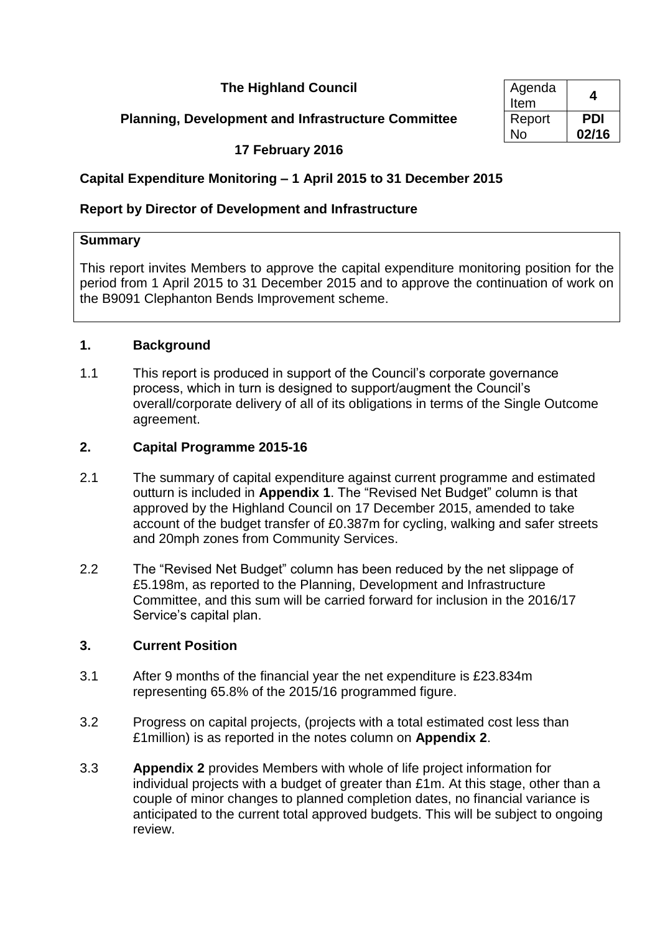**The Highland Council** 

# **Planning, Development and Infrastructure Committee**

| Agenda<br>Item | 4     |
|----------------|-------|
| Report         | PDI   |
| N٥             | 02/16 |

# **17 February 2016**

# **Capital Expenditure Monitoring – 1 April 2015 to 31 December 2015**

# **Report by Director of Development and Infrastructure**

# **Summary**

This report invites Members to approve the capital expenditure monitoring position for the period from 1 April 2015 to 31 December 2015 and to approve the continuation of work on the B9091 Clephanton Bends Improvement scheme.

# **1. Background**

1.1 This report is produced in support of the Council's corporate governance process, which in turn is designed to support/augment the Council's overall/corporate delivery of all of its obligations in terms of the Single Outcome agreement.

# **2. Capital Programme 2015-16**

- 2.1 The summary of capital expenditure against current programme and estimated outturn is included in **Appendix 1**. The "Revised Net Budget" column is that approved by the Highland Council on 17 December 2015, amended to take account of the budget transfer of £0.387m for cycling, walking and safer streets and 20mph zones from Community Services.
- 2.2 The "Revised Net Budget" column has been reduced by the net slippage of £5.198m, as reported to the Planning, Development and Infrastructure Committee, and this sum will be carried forward for inclusion in the 2016/17 Service's capital plan.

# **3. Current Position**

- 3.1 After 9 months of the financial year the net expenditure is £23.834m representing 65.8% of the 2015/16 programmed figure.
- 3.2 Progress on capital projects, (projects with a total estimated cost less than £1million) is as reported in the notes column on **Appendix 2**.
- 3.3 **Appendix 2** provides Members with whole of life project information for individual projects with a budget of greater than £1m. At this stage, other than a couple of minor changes to planned completion dates, no financial variance is anticipated to the current total approved budgets. This will be subject to ongoing review.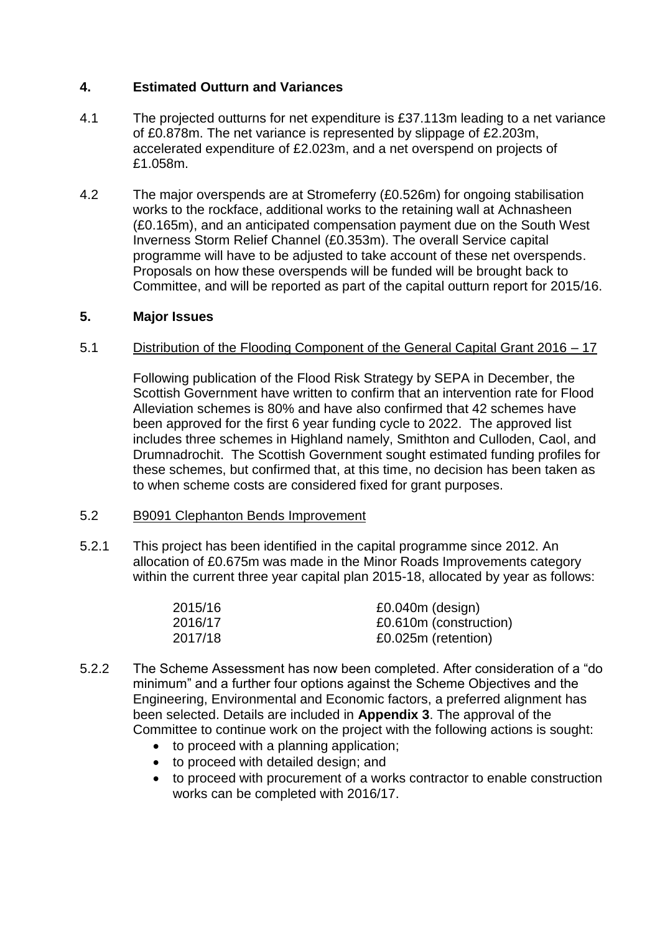# **4. Estimated Outturn and Variances**

- 4.1 The projected outturns for net expenditure is £37.113m leading to a net variance of £0.878m. The net variance is represented by slippage of £2.203m, accelerated expenditure of £2.023m, and a net overspend on projects of £1.058m.
- 4.2 The major overspends are at Stromeferry (£0.526m) for ongoing stabilisation works to the rockface, additional works to the retaining wall at Achnasheen (£0.165m), and an anticipated compensation payment due on the South West Inverness Storm Relief Channel (£0.353m). The overall Service capital programme will have to be adjusted to take account of these net overspends. Proposals on how these overspends will be funded will be brought back to Committee, and will be reported as part of the capital outturn report for 2015/16.

#### **5. Major Issues**

#### 5.1 Distribution of the Flooding Component of the General Capital Grant 2016 – 17

Following publication of the Flood Risk Strategy by SEPA in December, the Scottish Government have written to confirm that an intervention rate for Flood Alleviation schemes is 80% and have also confirmed that 42 schemes have been approved for the first 6 year funding cycle to 2022. The approved list includes three schemes in Highland namely, Smithton and Culloden, Caol, and Drumnadrochit. The Scottish Government sought estimated funding profiles for these schemes, but confirmed that, at this time, no decision has been taken as to when scheme costs are considered fixed for grant purposes.

#### 5.2 B9091 Clephanton Bends Improvement

5.2.1 This project has been identified in the capital programme since 2012. An allocation of £0.675m was made in the Minor Roads Improvements category within the current three year capital plan 2015-18, allocated by year as follows:

| 2015/16 | $£0.040m$ (design)     |
|---------|------------------------|
| 2016/17 | £0.610m (construction) |
| 2017/18 | £0.025m (retention)    |

- 5.2.2 The Scheme Assessment has now been completed. After consideration of a "do minimum" and a further four options against the Scheme Objectives and the Engineering, Environmental and Economic factors, a preferred alignment has been selected. Details are included in **Appendix 3**. The approval of the Committee to continue work on the project with the following actions is sought:
	- to proceed with a planning application;
	- to proceed with detailed design; and
	- to proceed with procurement of a works contractor to enable construction works can be completed with 2016/17.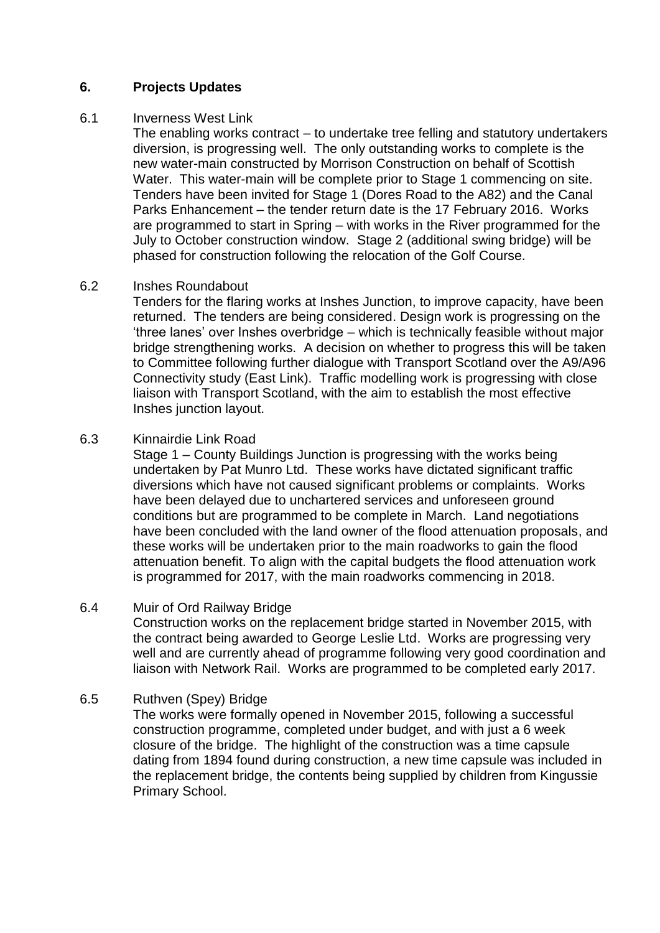### **6. Projects Updates**

#### 6.1 Inverness West Link

The enabling works contract – to undertake tree felling and statutory undertakers diversion, is progressing well. The only outstanding works to complete is the new water-main constructed by Morrison Construction on behalf of Scottish Water. This water-main will be complete prior to Stage 1 commencing on site. Tenders have been invited for Stage 1 (Dores Road to the A82) and the Canal Parks Enhancement – the tender return date is the 17 February 2016. Works are programmed to start in Spring – with works in the River programmed for the July to October construction window. Stage 2 (additional swing bridge) will be phased for construction following the relocation of the Golf Course.

#### 6.2 Inshes Roundabout

Tenders for the flaring works at Inshes Junction, to improve capacity, have been returned. The tenders are being considered. Design work is progressing on the 'three lanes' over Inshes overbridge – which is technically feasible without major bridge strengthening works. A decision on whether to progress this will be taken to Committee following further dialogue with Transport Scotland over the A9/A96 Connectivity study (East Link). Traffic modelling work is progressing with close liaison with Transport Scotland, with the aim to establish the most effective Inshes junction layout.

#### 6.3 Kinnairdie Link Road

Stage 1 – County Buildings Junction is progressing with the works being undertaken by Pat Munro Ltd. These works have dictated significant traffic diversions which have not caused significant problems or complaints. Works have been delayed due to unchartered services and unforeseen ground conditions but are programmed to be complete in March. Land negotiations have been concluded with the land owner of the flood attenuation proposals, and these works will be undertaken prior to the main roadworks to gain the flood attenuation benefit. To align with the capital budgets the flood attenuation work is programmed for 2017, with the main roadworks commencing in 2018.

#### 6.4 Muir of Ord Railway Bridge

Construction works on the replacement bridge started in November 2015, with the contract being awarded to George Leslie Ltd. Works are progressing very well and are currently ahead of programme following very good coordination and liaison with Network Rail. Works are programmed to be completed early 2017.

#### 6.5 Ruthven (Spey) Bridge

The works were formally opened in November 2015, following a successful construction programme, completed under budget, and with just a 6 week closure of the bridge. The highlight of the construction was a time capsule dating from 1894 found during construction, a new time capsule was included in the replacement bridge, the contents being supplied by children from Kingussie Primary School.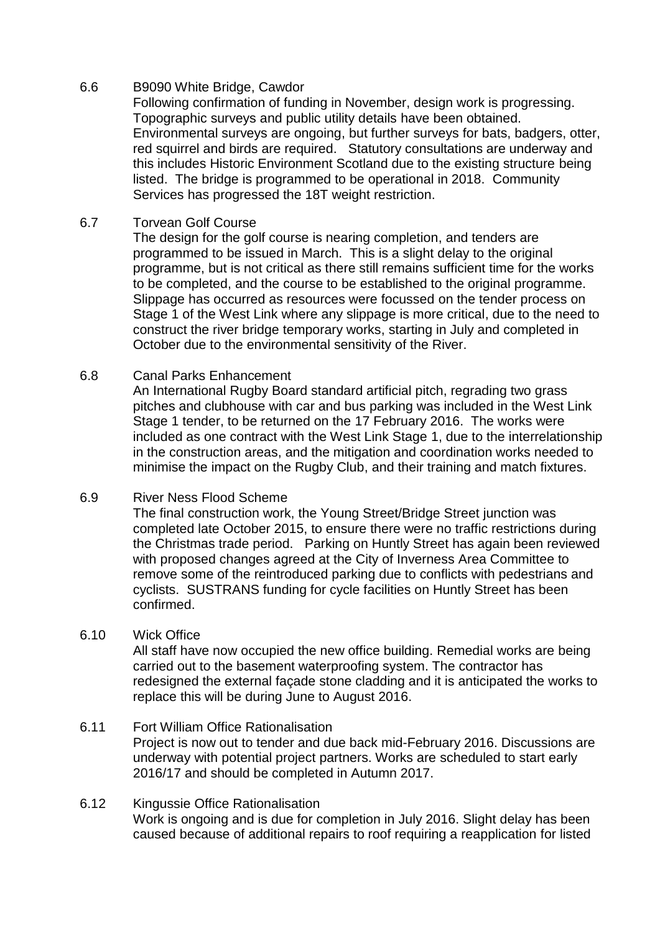# 6.6 B9090 White Bridge, Cawdor

Following confirmation of funding in November, design work is progressing. Topographic surveys and public utility details have been obtained. Environmental surveys are ongoing, but further surveys for bats, badgers, otter, red squirrel and birds are required. Statutory consultations are underway and this includes Historic Environment Scotland due to the existing structure being listed. The bridge is programmed to be operational in 2018. Community Services has progressed the 18T weight restriction.

### 6.7 Torvean Golf Course

The design for the golf course is nearing completion, and tenders are programmed to be issued in March. This is a slight delay to the original programme, but is not critical as there still remains sufficient time for the works to be completed, and the course to be established to the original programme. Slippage has occurred as resources were focussed on the tender process on Stage 1 of the West Link where any slippage is more critical, due to the need to construct the river bridge temporary works, starting in July and completed in October due to the environmental sensitivity of the River.

#### 6.8 Canal Parks Enhancement

An International Rugby Board standard artificial pitch, regrading two grass pitches and clubhouse with car and bus parking was included in the West Link Stage 1 tender, to be returned on the 17 February 2016. The works were included as one contract with the West Link Stage 1, due to the interrelationship in the construction areas, and the mitigation and coordination works needed to minimise the impact on the Rugby Club, and their training and match fixtures.

# 6.9 River Ness Flood Scheme

The final construction work, the Young Street/Bridge Street junction was completed late October 2015, to ensure there were no traffic restrictions during the Christmas trade period. Parking on Huntly Street has again been reviewed with proposed changes agreed at the City of Inverness Area Committee to remove some of the reintroduced parking due to conflicts with pedestrians and cyclists. SUSTRANS funding for cycle facilities on Huntly Street has been confirmed.

#### 6.10 Wick Office

All staff have now occupied the new office building. Remedial works are being carried out to the basement waterproofing system. The contractor has redesigned the external façade stone cladding and it is anticipated the works to replace this will be during June to August 2016.

#### 6.11 Fort William Office Rationalisation

Project is now out to tender and due back mid-February 2016. Discussions are underway with potential project partners. Works are scheduled to start early 2016/17 and should be completed in Autumn 2017.

### 6.12 Kingussie Office Rationalisation Work is ongoing and is due for completion in July 2016. Slight delay has been caused because of additional repairs to roof requiring a reapplication for listed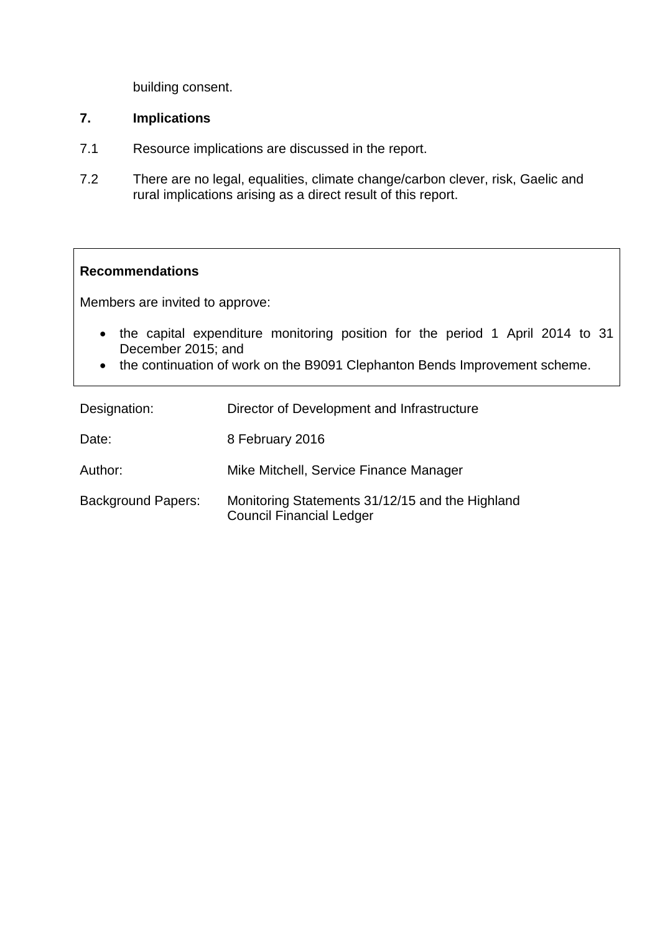building consent.

# **7. Implications**

- 7.1 Resource implications are discussed in the report.
- 7.2 There are no legal, equalities, climate change/carbon clever, risk, Gaelic and rural implications arising as a direct result of this report.

#### **Recommendations**

Members are invited to approve:

- the capital expenditure monitoring position for the period 1 April 2014 to 31 December 2015; and
- the continuation of work on the B9091 Clephanton Bends Improvement scheme.

| Designation:              | Director of Development and Infrastructure                                         |
|---------------------------|------------------------------------------------------------------------------------|
| Date:                     | 8 February 2016                                                                    |
| Author:                   | Mike Mitchell, Service Finance Manager                                             |
| <b>Background Papers:</b> | Monitoring Statements 31/12/15 and the Highland<br><b>Council Financial Ledger</b> |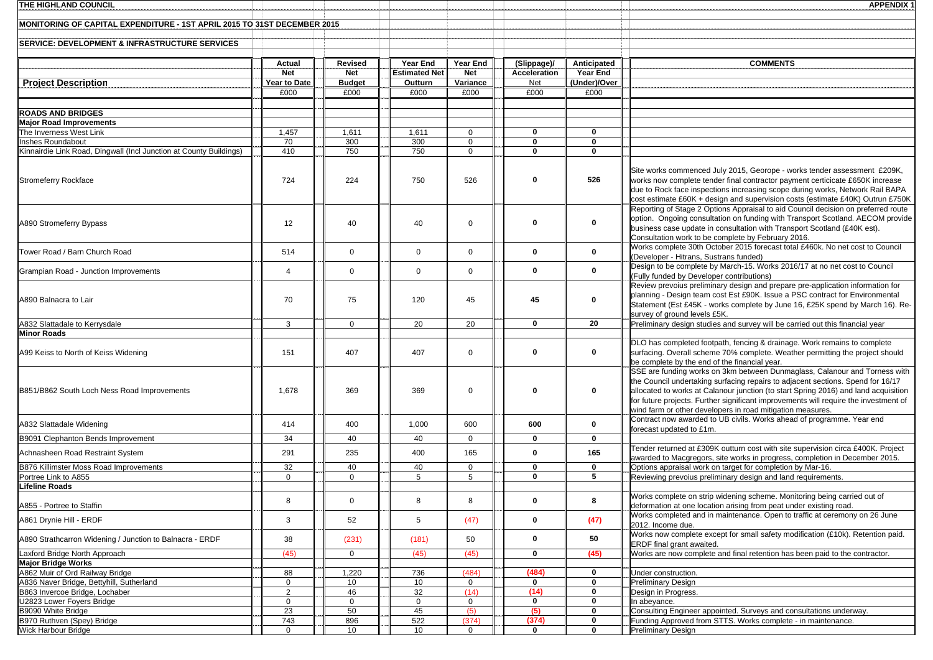| THE HIGHLAND COUNCIL                                                     |                   |                   |                      |                     |                              |                  | <b>APPENDIX 1</b>                                                                                                                                               |
|--------------------------------------------------------------------------|-------------------|-------------------|----------------------|---------------------|------------------------------|------------------|-----------------------------------------------------------------------------------------------------------------------------------------------------------------|
|                                                                          |                   |                   |                      |                     |                              |                  |                                                                                                                                                                 |
| MONITORING OF CAPITAL EXPENDITURE - 1ST APRIL 2015 TO 31ST DECEMBER 2015 |                   |                   |                      |                     |                              |                  |                                                                                                                                                                 |
| SERVICE: DEVELOPMENT & INFRASTRUCTURE SERVICES                           |                   |                   |                      |                     |                              |                  |                                                                                                                                                                 |
|                                                                          |                   |                   |                      |                     |                              |                  |                                                                                                                                                                 |
|                                                                          | Actual            | <b>Revised</b>    | Year End             | Year End            | (Slippage)/                  | Anticipated      | <b>COMMENTS</b>                                                                                                                                                 |
|                                                                          | <b>Net</b>        | <b>Net</b>        | <b>Estimated Net</b> | <b>Net</b>          | Acceleration                 | Year End         |                                                                                                                                                                 |
| <b>Project Description</b>                                               | Year to Date      | <b>Budget</b>     | Outturn              | Variance            | Net                          | (Under)/Over     |                                                                                                                                                                 |
|                                                                          | £000              | £000              | £000                 | £000                | £000                         | £000             |                                                                                                                                                                 |
|                                                                          |                   |                   |                      |                     |                              |                  |                                                                                                                                                                 |
| <b>ROADS AND BRIDGES</b>                                                 |                   |                   |                      |                     |                              |                  |                                                                                                                                                                 |
| <b>Major Road Improvements</b><br>The Inverness West Link                | 1,457             | 1,611             | 1,611                | $\mathbf{0}$        | 0                            | 0                |                                                                                                                                                                 |
| Inshes Roundabout                                                        | 70                | 300               | 300                  | $\mathbf 0$         | $\mathbf 0$                  | 0                |                                                                                                                                                                 |
| Kinnairdie Link Road, Dingwall (Incl Junction at County Buildings)       | 410               | 750               | 750                  | $\mathbf 0$         | $\mathbf{0}$                 | 0                |                                                                                                                                                                 |
|                                                                          |                   |                   |                      |                     |                              |                  |                                                                                                                                                                 |
|                                                                          |                   |                   |                      |                     |                              |                  | Site works commenced July 2015, Georope - works tender assessment £209K,                                                                                        |
| <b>Stromeferry Rockface</b>                                              | 724               | 224               | 750                  | 526                 | $\Omega$                     | 526              | works now complete tender final contractor payment certicicate £650K increase                                                                                   |
|                                                                          |                   |                   |                      |                     |                              |                  | due to Rock face inspections increasing scope during works, Network Rail BAPA<br>cost estimate £60K + design and supervision costs (estimate £40K) Outrun £750K |
|                                                                          |                   |                   |                      |                     |                              |                  | Reporting of Stage 2 Options Appraisal to aid Council decision on preferred route                                                                               |
|                                                                          |                   |                   |                      |                     |                              |                  | option. Ongoing consultation on funding with Transport Scotland. AECOM provide                                                                                  |
| A890 Stromeferry Bypass                                                  | 12                | 40                | 40                   | $\mathbf 0$         | $\bf{0}$                     | 0                | business case update in consultation with Transport Scotland (£40K est).                                                                                        |
|                                                                          |                   |                   |                      |                     |                              |                  | Consultation work to be complete by February 2016.                                                                                                              |
| Tower Road / Barn Church Road                                            | 514               | $\mathbf 0$       | $\mathbf 0$          | $\mathbf 0$         | $\mathbf 0$                  | 0                | Works complete 30th October 2015 forecast total £460k. No net cost to Council                                                                                   |
|                                                                          |                   |                   |                      |                     |                              |                  | (Developer - Hitrans, Sustrans funded)<br>Design to be complete by March-15. Works 2016/17 at no net cost to Council                                            |
| Grampian Road - Junction Improvements                                    | 4                 | $\mathbf 0$       | $\mathbf 0$          | $\mathbf 0$         | $\mathbf 0$                  | 0                | (Fully funded by Developer contributions)                                                                                                                       |
|                                                                          |                   |                   |                      |                     |                              |                  | Review prevoius preliminary design and prepare pre-application information for                                                                                  |
|                                                                          |                   |                   |                      |                     | 45                           | 0                | planning - Design team cost Est £90K. Issue a PSC contract for Environmental                                                                                    |
| A890 Balnacra to Lair                                                    | 70                | 75                | 120                  | 45                  |                              |                  | Statement (Est £45K - works complete by June 16, £25K spend by March 16). Re-                                                                                   |
|                                                                          |                   |                   |                      |                     |                              |                  | survey of ground levels £5K.                                                                                                                                    |
| A832 Slattadale to Kerrysdale<br><b>Minor Roads</b>                      | 3                 | $\mathbf 0$       | 20                   | 20                  | $\mathbf{0}$                 | $\overline{20}$  | Preliminary design studies and survey will be carried out this financial year                                                                                   |
|                                                                          |                   |                   |                      |                     |                              |                  | DLO has completed footpath, fencing & drainage. Work remains to complete                                                                                        |
| A99 Keiss to North of Keiss Widening                                     | 151               | 407               | 407                  | $\mathbf 0$         | 0                            | 0                | surfacing. Overall scheme 70% complete. Weather permitting the project should                                                                                   |
|                                                                          |                   |                   |                      |                     |                              |                  | be complete by the end of the financial year.                                                                                                                   |
|                                                                          |                   |                   |                      |                     |                              |                  | SSE are funding works on 3km between Dunmaglass, Calanour and Torness with                                                                                      |
|                                                                          |                   |                   |                      |                     |                              |                  | the Council undertaking surfacing repairs to adjacent sections. Spend for 16/17                                                                                 |
| B851/B862 South Loch Ness Road Improvements                              | 1,678             | 369               | 369                  | $\mathbf 0$         | $\Omega$                     | 0                | allocated to works at Calanour junction (to start Spring 2016) and land acquisition                                                                             |
|                                                                          |                   |                   |                      |                     |                              |                  | for future projects. Further significant improvements will require the investment of<br>wind farm or other developers in road mitigation measures.              |
|                                                                          |                   |                   |                      |                     |                              |                  | Contract now awarded to UB civils. Works ahead of programme. Year end                                                                                           |
| A832 Slattadale Widening                                                 | 414               | 400               | 1,000                | 600                 | 600                          | 0                | forecast updated to £1m.                                                                                                                                        |
| B9091 Clephanton Bends Improvement                                       | 34                | 40                | 40                   | $\mathbf{0}$        | $\mathbf 0$                  | 0                |                                                                                                                                                                 |
| Achnasheen Road Restraint System                                         | 291               | 235               | 400                  | 165                 | $\mathbf 0$                  | 165              | Tender returned at £309K outturn cost with site supervision circa £400K. Project                                                                                |
|                                                                          |                   |                   |                      |                     |                              |                  | awarded to Macgregors, site works in progress, completion in December 2015.                                                                                     |
| B876 Killimster Moss Road Improvements<br>Portree Link to A855           | 32<br>$\mathbf 0$ | 40<br>$\mathbf 0$ | 40<br>5              | 0<br>5              | 0<br>$\overline{\mathbf{0}}$ | 0<br>5           | Options appraisal work on target for completion by Mar-16.<br>Reviewing prevoius preliminary design and land requirements.                                      |
| <b>Lifeline Roads</b>                                                    |                   |                   |                      |                     |                              |                  |                                                                                                                                                                 |
|                                                                          |                   |                   |                      |                     |                              |                  | Works complete on strip widening scheme. Monitoring being carried out of                                                                                        |
| A855 - Portree to Staffin                                                | 8                 | $\mathbf 0$       | 8                    | 8                   | $\mathbf 0$                  | 8                | deformation at one location arising from peat under existing road.                                                                                              |
| A861 Drvnie Hill - ERDF                                                  | 3                 | 52                | 5                    | (47)                | $\mathbf 0$                  | (47)             | Works completed and in maintenance. Open to traffic at ceremony on 26 June                                                                                      |
|                                                                          |                   |                   |                      |                     |                              |                  | 2012. Income due.                                                                                                                                               |
| A890 Strathcarron Widening / Junction to Balnacra - ERDF                 | 38                | (231)             | (181)                | 50                  | 0                            | 50               | Works now complete except for small safety modification (£10k). Retention paid.<br>ERDF final grant awaited.                                                    |
| Laxford Bridge North Approach                                            | (45)              | $\mathbf{0}$      | (45)                 | (45)                | $\mathbf 0$                  | (45)             | Works are now complete and final retention has been paid to the contractor.                                                                                     |
| <b>Major Bridge Works</b>                                                |                   |                   |                      |                     |                              |                  |                                                                                                                                                                 |
| A862 Muir of Ord Railway Bridge                                          | 88                | 1,220             | 736                  | (484)               | (484)                        | 0                | Under construction.                                                                                                                                             |
| A836 Naver Bridge, Bettyhill, Sutherland                                 | $\mathbf 0$       | 10                | 10                   | $\mathbf 0$         | $\mathbf 0$                  | 0                | <b>Preliminary Design</b>                                                                                                                                       |
| B863 Invercoe Bridge, Lochaber                                           | $\overline{2}$    | 46                | 32                   | (14)                | (14)                         | 0<br>$\mathbf 0$ | Design in Progress.<br>n abevance.                                                                                                                              |
| U2823 Lower Foyers Bridge<br>B9090 White Bridge                          | $\mathbf 0$<br>23 | $\mathbf 0$<br>50 | $\mathbf 0$<br>45    | $\mathbf{0}$<br>(5) | $\bf{0}$<br>(5)              | 0                | Consulting Engineer appointed. Surveys and consultations underway.                                                                                              |
| B970 Ruthven (Spey) Bridge                                               | 743               | 896               | 522                  | (374)               | (374)                        | 0                | Funding Approved from STTS. Works complete - in maintenance.                                                                                                    |
| Wick Harbour Bridge                                                      | $\Omega$          | 10                | 10                   | $\mathbf{0}$        | $\mathbf 0$                  | 0                | <b>Preliminary Design</b>                                                                                                                                       |
|                                                                          |                   |                   |                      |                     |                              |                  |                                                                                                                                                                 |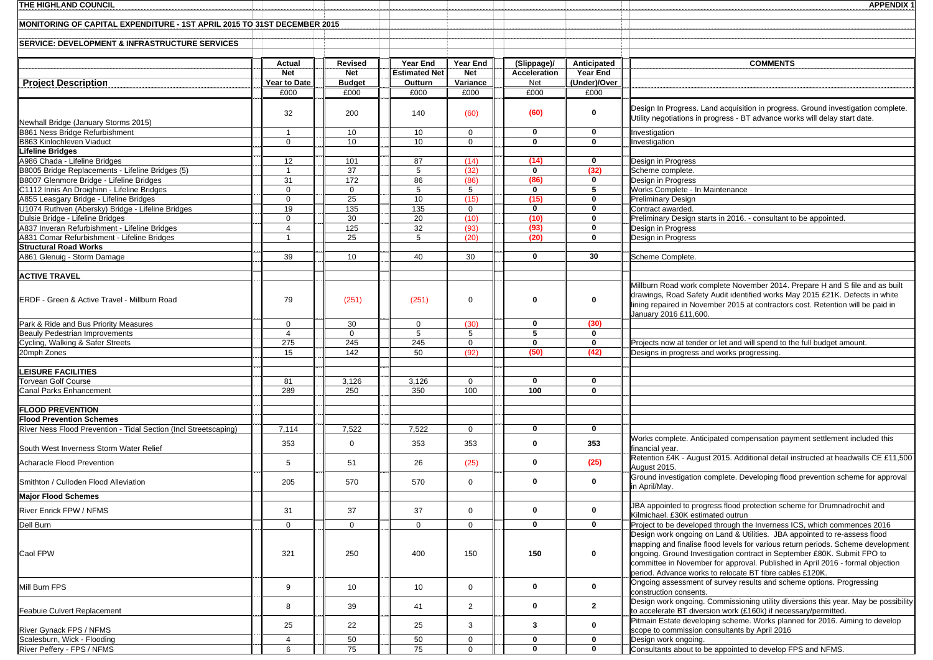| <b>THE HIGHLAND COUNCIL</b>                                                                  |                                  |                              |                                  |                        |                             |                         | <b>APPENDIX 1</b>                                                                                                                                                                                                                                                                                         |
|----------------------------------------------------------------------------------------------|----------------------------------|------------------------------|----------------------------------|------------------------|-----------------------------|-------------------------|-----------------------------------------------------------------------------------------------------------------------------------------------------------------------------------------------------------------------------------------------------------------------------------------------------------|
| MONITORING OF CAPITAL EXPENDITURE - 1ST APRIL 2015 TO 31ST DECEMBER 2015                     |                                  |                              |                                  |                        |                             |                         |                                                                                                                                                                                                                                                                                                           |
| <b>SERVICE: DEVELOPMENT &amp; INFRASTRUCTURE SERVICES</b>                                    |                                  |                              |                                  |                        |                             |                         |                                                                                                                                                                                                                                                                                                           |
|                                                                                              | <b>Actual</b><br><b>Net</b>      | <b>Revised</b><br><b>Net</b> | Year End<br><b>Estimated Net</b> | Year End<br><b>Net</b> | (Slippage)/<br>Acceleration | Anticipated<br>Year End | <b>COMMENTS</b>                                                                                                                                                                                                                                                                                           |
| <b>Project Description</b>                                                                   | Year to Date                     | <b>Budget</b>                | Outturn                          | Variance               | Net                         | (Under)/Over            |                                                                                                                                                                                                                                                                                                           |
|                                                                                              | £000                             | £000                         | £000                             | £000                   | £000                        | £000                    |                                                                                                                                                                                                                                                                                                           |
| Newhall Bridge (January Storms 2015)                                                         | 32                               | 200                          | 140                              | (60)                   | (60)                        | 0                       | Design In Progress. Land acquisition in progress. Ground investigation complete.<br>Utility negotiations in progress - BT advance works will delay start date.                                                                                                                                            |
| B861 Ness Bridge Refurbishment                                                               | $\overline{1}$                   | 10                           | 10                               | $\mathbf{0}$           | $\mathbf{0}$                | 0                       | Investigation                                                                                                                                                                                                                                                                                             |
| B863 Kinlochleven Viaduct                                                                    | $\Omega$                         | 10                           | 10                               | $\Omega$               | $\mathbf{0}$                | 0                       | Investigation                                                                                                                                                                                                                                                                                             |
| <b>Lifeline Bridges</b><br>A986 Chada - Lifeline Bridges                                     | 12                               | 101                          | 87                               | (14)                   | (14)                        | 0                       | Design in Progress                                                                                                                                                                                                                                                                                        |
| B8005 Bridge Replacements - Lifeline Bridges (5)                                             | $\overline{1}$                   | 37                           | 5                                | (32)                   | $\mathbf 0$                 | (32)                    | Scheme complete.                                                                                                                                                                                                                                                                                          |
| B8007 Glenmore Bridge - Lifeline Bridges                                                     | 31                               | 172                          | 86                               | (86)                   | (86)                        | 0                       | Design in Progress                                                                                                                                                                                                                                                                                        |
| C1112 Innis An Droighinn - Lifeline Bridges                                                  | $\Omega$                         | $\Omega$                     | 5                                | 5                      | $\mathbf 0$                 | 5                       | Works Complete - In Maintenance                                                                                                                                                                                                                                                                           |
| A855 Leasgary Bridge - Lifeline Bridges                                                      | $\mathbf 0$                      | 25                           | 10                               | (15)                   | (15)                        | 0                       | <b>Preliminary Design</b>                                                                                                                                                                                                                                                                                 |
| U1074 Ruthven (Abersky) Bridge - Lifeline Bridges                                            | 19                               | 135                          | 135                              | $\overline{0}$         | $\mathbf 0$                 | 0                       | Contract awarded.                                                                                                                                                                                                                                                                                         |
| Dulsie Bridge - Lifeline Bridges                                                             | $\mathbf 0$                      | 30                           | 20                               | (10)                   | (10)                        | 0                       | Preliminary Design starts in 2016. - consultant to be appointed.                                                                                                                                                                                                                                          |
| A837 Inveran Refurbishment - Lifeline Bridges<br>A831 Comar Refurbishment - Lifeline Bridges | $\overline{4}$<br>$\overline{1}$ | 125<br>25                    | 32<br>$5^{\circ}$                | (93)<br>(20)           | (93)<br>(20)                | 0<br>0                  | Design in Progress<br>Design in Progress                                                                                                                                                                                                                                                                  |
| <b>Structural Road Works</b>                                                                 |                                  |                              |                                  |                        |                             |                         |                                                                                                                                                                                                                                                                                                           |
| A861 Glenuig - Storm Damage                                                                  | 39                               | 10                           | 40                               | 30                     | $\mathbf 0$                 | 30                      | Scheme Complete.                                                                                                                                                                                                                                                                                          |
|                                                                                              |                                  |                              |                                  |                        |                             |                         |                                                                                                                                                                                                                                                                                                           |
| <b>ACTIVE TRAVEL</b><br>ERDF - Green & Active Travel - Millburn Road                         | 79                               | (251)                        | (251)                            | $\mathbf{0}$           | $\mathbf{0}$                | 0                       | Millburn Road work complete November 2014. Prepare H and S file and as built<br>drawings, Road Safety Audit identified works May 2015 £21K. Defects in white<br>lining repaired in November 2015 at contractors cost. Retention will be paid in<br>January 2016 £11,600.                                  |
| Park & Ride and Bus Priority Measures                                                        | $\mathbf 0$                      | 30                           | $\mathbf 0$                      | (30)                   | $\mathbf 0$                 | (30)                    |                                                                                                                                                                                                                                                                                                           |
| <b>Beauly Pedestrian Improvements</b>                                                        | $\overline{4}$                   | $\mathbf 0$                  | 5                                | 5                      | 5                           | 0                       |                                                                                                                                                                                                                                                                                                           |
| Cycling, Walking & Safer Streets                                                             | 275                              | 245                          | 245                              | $\mathbf 0$            | $\mathbf 0$                 | 0                       | Projects now at tender or let and will spend to the full budget amount.                                                                                                                                                                                                                                   |
| 20mph Zones                                                                                  | 15                               | 142                          | 50                               | (92)                   | (50)                        | (42)                    | Designs in progress and works progressing.                                                                                                                                                                                                                                                                |
|                                                                                              |                                  |                              |                                  |                        |                             |                         |                                                                                                                                                                                                                                                                                                           |
| <b>LEISURE FACILITIES</b>                                                                    |                                  |                              |                                  |                        |                             |                         |                                                                                                                                                                                                                                                                                                           |
| <b>Torvean Golf Course</b><br><b>Canal Parks Enhancement</b>                                 | 81<br>289                        | 3,126<br>250                 | 3,126<br>350                     | $\overline{0}$<br>100  | 0<br>100                    | 0<br>$\mathbf 0$        |                                                                                                                                                                                                                                                                                                           |
|                                                                                              |                                  |                              |                                  |                        |                             |                         |                                                                                                                                                                                                                                                                                                           |
| <b>FLOOD PREVENTION</b>                                                                      |                                  |                              |                                  |                        |                             |                         |                                                                                                                                                                                                                                                                                                           |
| <b>Flood Prevention Schemes</b>                                                              |                                  |                              |                                  |                        |                             |                         |                                                                                                                                                                                                                                                                                                           |
| River Ness Flood Prevention - Tidal Section (Incl Streetscaping)                             | 7,114                            | 7,522                        | 7,522                            | $\mathbf 0$            | $\mathbf 0$                 | $\mathbf 0$             |                                                                                                                                                                                                                                                                                                           |
|                                                                                              | 353                              | $\mathbf 0$                  | 353                              | 353                    | $\mathbf 0$                 | 353                     | Works complete. Anticipated compensation payment settlement included this                                                                                                                                                                                                                                 |
| South West Inverness Storm Water Relief                                                      |                                  |                              |                                  |                        |                             |                         | financial year.                                                                                                                                                                                                                                                                                           |
| Acharacle Flood Prevention                                                                   | 5                                | 51                           | 26                               | (25)                   | $\mathbf 0$                 | (25)                    | Retention £4K - August 2015. Additional detail instructed at headwalls CE £11,500<br>August 2015.<br>Ground investigation complete. Developing flood prevention scheme for approval                                                                                                                       |
| Smithton / Culloden Flood Alleviation<br><b>Major Flood Schemes</b>                          | 205                              | 570                          | 570                              | $\mathbf 0$            | 0                           | $\mathbf 0$             | in April/May.                                                                                                                                                                                                                                                                                             |
|                                                                                              |                                  |                              |                                  |                        |                             |                         | JBA appointed to progress flood protection scheme for Drumnadrochit and                                                                                                                                                                                                                                   |
| River Enrick FPW / NFMS                                                                      | 31                               | 37                           | 37                               | $\mathbf 0$            | $\mathbf 0$<br>$\mathbf 0$  | 0                       | Kilmichael. £30K estimated outrun                                                                                                                                                                                                                                                                         |
| Dell Burn                                                                                    | $\mathbf 0$                      | $\mathbf 0$                  | $\mathbf 0$                      | $\mathbf{0}$           |                             | 0                       | Project to be developed through the Inverness ICS, which commences 2016<br>Design work ongoing on Land & Utilities. JBA appointed to re-assess flood                                                                                                                                                      |
| Caol FPW                                                                                     | 321                              | 250                          | 400                              | 150                    | 150                         | 0                       | mapping and finalise flood levels for various return periods. Scheme development<br>ongoing. Ground Investigation contract in September £80K. Submit FPO to<br>committee in November for approval. Published in April 2016 - formal objection<br>period. Advance works to relocate BT fibre cables £120K. |
| Mill Burn FPS                                                                                | 9                                | 10                           | 10                               | $\mathbf{0}$           | 0                           | 0                       | Ongoing assessment of survey results and scheme options. Progressing<br>construction consents.                                                                                                                                                                                                            |
| <b>Feabuie Culvert Replacement</b>                                                           | 8                                | 39                           | 41                               | 2                      | $\mathbf 0$                 | $\mathbf{2}$            | Design work ongoing. Commissioning utility diversions this year. May be possibility<br>to accelerate BT diversion work (£160k) if necessary/permitted.                                                                                                                                                    |
| River Gynack FPS / NFMS                                                                      | 25                               | 22                           | 25                               | 3                      | 3                           | 0                       | Pitmain Estate developing scheme. Works planned for 2016. Aiming to develop<br>scope to commission consultants by April 2016                                                                                                                                                                              |
| Scalesburn, Wick - Flooding                                                                  | 4                                | 50                           | 50                               | $\mathbf 0$            | 0                           | 0                       | Design work ongoing.                                                                                                                                                                                                                                                                                      |
| River Peffery - FPS / NFMS                                                                   | 6                                | 75                           | 75                               | $\overline{0}$         | $\mathbf 0$                 | $\mathbf 0$             | Consultants about to be appointed to develop FPS and NFMS.                                                                                                                                                                                                                                                |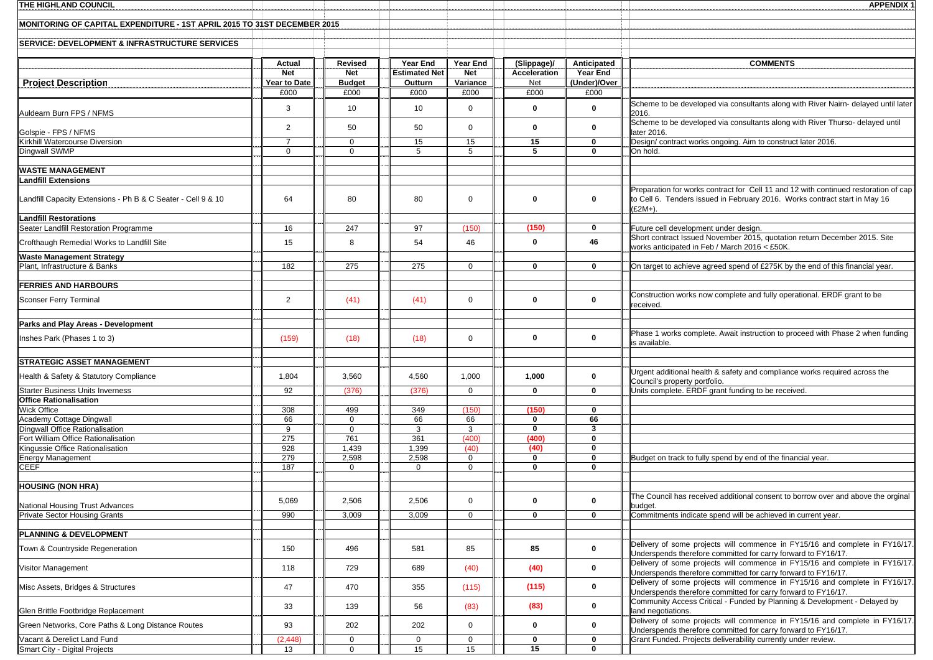| <b>THE HIGHLAND COUNCIL</b>                                              |                      |                       |                      |                            |                            |                          | <b>APPENDIX 1</b>                                                                                                                                                              |
|--------------------------------------------------------------------------|----------------------|-----------------------|----------------------|----------------------------|----------------------------|--------------------------|--------------------------------------------------------------------------------------------------------------------------------------------------------------------------------|
| MONITORING OF CAPITAL EXPENDITURE - 1ST APRIL 2015 TO 31ST DECEMBER 2015 |                      |                       |                      |                            |                            |                          |                                                                                                                                                                                |
| <b>SERVICE: DEVELOPMENT &amp; INFRASTRUCTURE SERVICES</b>                |                      |                       |                      |                            |                            |                          |                                                                                                                                                                                |
|                                                                          | Actual               | Revised               | Year End             | Year End                   | (Slippage)/                | Anticipated              | <b>COMMENTS</b>                                                                                                                                                                |
|                                                                          | <b>Net</b>           | <b>Net</b>            | <b>Estimated Net</b> | <b>Net</b>                 | Acceleration               | Year End<br>(Under)/Over |                                                                                                                                                                                |
| <b>Project Description</b>                                               | Year to Date<br>£000 | <b>Budget</b><br>£000 | Outturn<br>£000      | Variance<br>£000           | Net<br>£000                | £000                     |                                                                                                                                                                                |
| Auldearn Burn FPS / NFMS                                                 | 3                    | 10                    | 10                   | $\Omega$                   | $\mathbf 0$                | 0                        | Scheme to be developed via consultants along with River Nairn- delayed until later<br>2016.                                                                                    |
| Golspie - FPS / NFMS                                                     | 2                    | 50                    | 50                   | $\Omega$                   | $\mathbf 0$                | 0                        | Scheme to be developed via consultants along with River Thurso- delayed until<br>later 2016.                                                                                   |
| Kirkhill Watercourse Diversion                                           | $\overline{7}$       | 0                     | 15                   | 15                         | 15                         | 0                        | Design/ contract works ongoing. Aim to construct later 2016.                                                                                                                   |
| Dingwall SWMP                                                            | $\mathbf 0$          | $\mathbf{0}$          | 5                    | 5                          | 5                          | 0                        | On hold.                                                                                                                                                                       |
| <b>WASTE MANAGEMENT</b>                                                  |                      |                       |                      |                            |                            |                          |                                                                                                                                                                                |
| <b>Landfill Extensions</b>                                               |                      |                       |                      |                            |                            |                          |                                                                                                                                                                                |
| Landfill Capacity Extensions - Ph B & C Seater - Cell 9 & 10             | 64                   | 80                    | 80                   | $\mathbf 0$                | $\mathbf 0$                | 0                        | Preparation for works contract for Cell 11 and 12 with continued restoration of cap<br>to Cell 6. Tenders issued in February 2016. Works contract start in May 16<br>$£2M+$ ). |
| <b>Landfill Restorations</b><br>Seater Landfill Restoration Programme    | 16                   | 247                   | 97                   | (150)                      | (150)                      | $\mathbf 0$              | Future cell development under design.                                                                                                                                          |
|                                                                          |                      |                       |                      |                            |                            |                          | Short contract Issued November 2015, quotation return December 2015. Site                                                                                                      |
| Crofthaugh Remedial Works to Landfill Site                               | 15                   | 8                     | 54                   | 46                         | $\mathbf 0$                | 46                       | works anticipated in Feb / March 2016 < £50K.                                                                                                                                  |
| <b>Waste Management Strategy</b><br>Plant, Infrastructure & Banks        | 182                  | 275                   | 275                  | $\mathbf 0$                | $\mathbf{0}$               | 0                        | On target to achieve agreed spend of £275K by the end of this financial year.                                                                                                  |
|                                                                          |                      |                       |                      |                            |                            |                          |                                                                                                                                                                                |
| <b>FERRIES AND HARBOURS</b>                                              |                      |                       |                      |                            |                            |                          |                                                                                                                                                                                |
| Sconser Ferry Terminal                                                   | $\overline{2}$       | (41)                  | (41)                 | $\mathbf 0$                | $\mathbf{0}$               | 0                        | Construction works now complete and fully operational. ERDF grant to be<br>received.                                                                                           |
| Parks and Play Areas - Development                                       |                      |                       |                      |                            |                            |                          |                                                                                                                                                                                |
| Inshes Park (Phases 1 to 3)                                              | (159)                | (18)                  | (18)                 | $\mathbf 0$                | $\mathbf{0}$               | 0                        | Phase 1 works complete. Await instruction to proceed with Phase 2 when funding<br>is available.                                                                                |
| STRATEGIC ASSET MANAGEMENT                                               |                      |                       |                      |                            |                            |                          |                                                                                                                                                                                |
| Health & Safety & Statutory Compliance                                   | 1,804                | 3,560                 | 4,560                | 1,000                      | 1,000                      | 0                        | Urgent additional health & safety and compliance works required across the<br>Council's property portfolio.                                                                    |
| <b>Starter Business Units Inverness</b>                                  | 92                   | (376)                 | (376)                | $\mathbf 0$                | $\mathbf 0$                | $\mathbf 0$              | Units complete. ERDF grant funding to be received.                                                                                                                             |
| <b>Office Rationalisation</b>                                            |                      |                       |                      |                            |                            |                          |                                                                                                                                                                                |
| Wick Office<br>Academy Cottage Dingwall                                  | 308<br>66            | 499<br>$\mathbf{0}$   | 349<br>66            | (150)<br>66                | (150)<br>$\mathbf 0$       | $\mathbf 0$<br>66        |                                                                                                                                                                                |
| Dingwall Office Rationalisation                                          | 9                    | 0                     | 3                    | 3                          | $\mathbf 0$                | $\overline{\mathbf{3}}$  |                                                                                                                                                                                |
| Fort William Office Rationalisation                                      | 275                  | 761                   | 361                  | (400)                      | (400)                      | 0                        |                                                                                                                                                                                |
| Kingussie Office Rationalisation                                         | 928                  | 1,439                 | 1,399                | (40)                       | (40)                       | 0                        |                                                                                                                                                                                |
| <b>Energy Management</b><br><b>CEEF</b>                                  | 279<br>187           | 2,598<br>0            | 2,598<br>$\mathbf 0$ | $\mathbf 0$<br>$\mathbf 0$ | $\mathbf 0$<br>$\mathbf 0$ | 0<br>0                   | Budget on track to fully spend by end of the financial year.                                                                                                                   |
|                                                                          |                      |                       |                      |                            |                            |                          |                                                                                                                                                                                |
| <b>HOUSING (NON HRA)</b>                                                 |                      |                       |                      |                            |                            |                          |                                                                                                                                                                                |
| National Housing Trust Advances                                          | 5,069                | 2,506                 | 2,506                | 0                          | 0                          | 0                        | The Council has received additional consent to borrow over and above the orginal<br>budget.                                                                                    |
| <b>Private Sector Housing Grants</b>                                     | 990                  | 3,009                 | 3,009                | $\Omega$                   | $\mathbf 0$                | $\mathbf 0$              | Commitments indicate spend will be achieved in current year.                                                                                                                   |
| PLANNING & DEVELOPMENT                                                   |                      |                       |                      |                            |                            |                          |                                                                                                                                                                                |
| Town & Countryside Regeneration                                          | 150                  | 496                   | 581                  | 85                         | 85                         | $\mathbf 0$              | Delivery of some projects will commence in FY15/16 and complete in FY16/17.<br>Underspends therefore committed for carry forward to FY16/17.                                   |
| Visitor Management                                                       | 118                  | 729                   | 689                  | (40)                       | (40)                       | 0                        | Delivery of some projects will commence in FY15/16 and complete in FY16/17.<br>Underspends therefore committed for carry forward to FY16/17.                                   |
| Misc Assets, Bridges & Structures                                        | 47                   | 470                   | 355                  | (115)                      | (115)                      | 0                        | Delivery of some projects will commence in FY15/16 and complete in FY16/17.<br>Underspends therefore committed for carry forward to FY16/17.                                   |
| Glen Brittle Footbridge Replacement                                      | 33                   | 139                   | 56                   | (83)                       | (83)                       | 0                        | Community Access Critical - Funded by Planning & Development - Delayed by<br>land negotiations.                                                                                |
| Green Networks, Core Paths & Long Distance Routes                        | 93                   | 202                   | 202                  | $\mathbf 0$                | $\bf{0}$                   | 0                        | Delivery of some projects will commence in FY15/16 and complete in FY16/17.<br>Underspends therefore committed for carry forward to FY16/17.                                   |
| Vacant & Derelict Land Fund<br>Smart City - Digital Projects             | (2, 448)<br>13       | 0<br>$\mathbf 0$      | 0<br>15              | 0<br>15                    | $\bf{0}$<br>15             | 0<br>$\mathbf 0$         | Grant Funded. Projects deliverability currently under review.                                                                                                                  |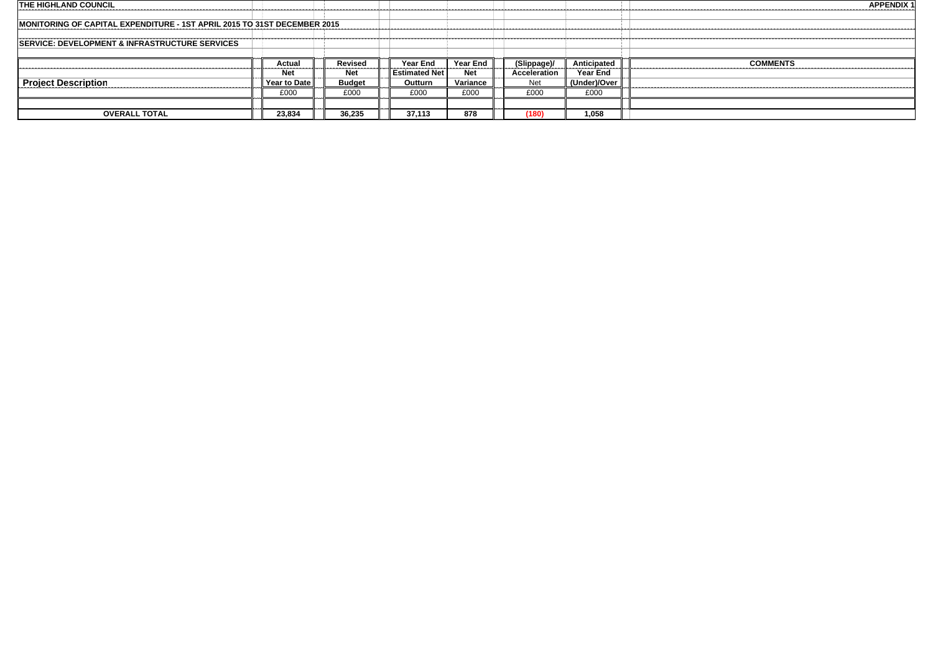| <b>THE HIGHLAND COUNCIL</b>                                              |              |               |                        |                 |              |                 | <b>APPENDIX 1</b> |
|--------------------------------------------------------------------------|--------------|---------------|------------------------|-----------------|--------------|-----------------|-------------------|
|                                                                          |              |               |                        |                 |              |                 |                   |
| MONITORING OF CAPITAL EXPENDITURE - 1ST APRIL 2015 TO 31ST DECEMBER 2015 |              |               |                        |                 |              |                 |                   |
|                                                                          |              |               |                        |                 |              |                 |                   |
| <b>SERVICE: DEVELOPMENT &amp; INFRASTRUCTURE SERVICES</b>                |              |               |                        |                 |              |                 |                   |
|                                                                          |              |               |                        |                 |              |                 |                   |
|                                                                          |              |               |                        |                 |              |                 |                   |
|                                                                          | Actual       | Revised       | Year End               | <b>Year End</b> | (Slippage)/  | Anticipated     | <b>COMMENTS</b>   |
|                                                                          | <b>Net</b>   | <b>Net</b>    | <b>Estimated Net I</b> | <b>Net</b>      | Acceleration | <b>Year End</b> |                   |
|                                                                          | Year to Date | <b>Budget</b> | Outturn                | Variance        | Net          | (Under)/Over    |                   |
| <b>Project Description</b>                                               | £000         | £000          | £000                   | £000            | £000         | £000            |                   |
|                                                                          |              |               |                        |                 |              |                 |                   |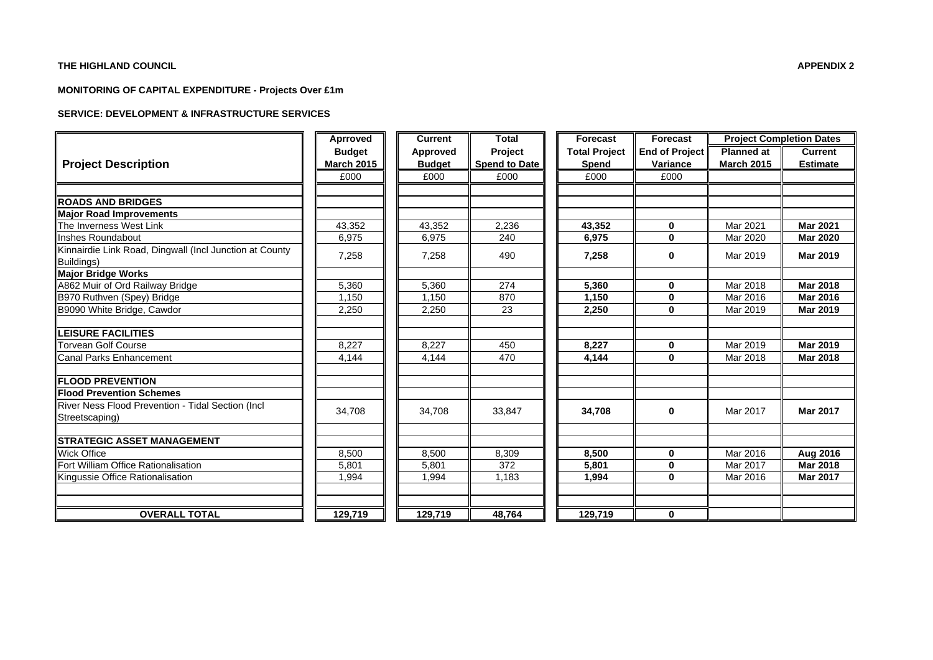#### **THE HIGHLAND COUNCIL**

#### **MONITORING OF CAPITAL EXPENDITURE - Projects Over £1m**

#### **SERVICE: DEVELOPMENT & INFRASTRUCTURE SERVICES**

|                                                         | Aprroved          | <b>Current</b> | <b>Total</b>         | Forecast             | <b>Forecast</b>       |                   | <b>Project Completion Dates</b> |
|---------------------------------------------------------|-------------------|----------------|----------------------|----------------------|-----------------------|-------------------|---------------------------------|
|                                                         | <b>Budget</b>     | Approved       | Project              | <b>Total Project</b> | <b>End of Project</b> | <b>Planned at</b> | <b>Current</b>                  |
| <b>Project Description</b>                              | <b>March 2015</b> | <b>Budget</b>  | <b>Spend to Date</b> | Spend                | Variance              | <b>March 2015</b> | <b>Estimate</b>                 |
|                                                         | £000              | £000           | £000                 | £000                 | £000                  |                   |                                 |
|                                                         |                   |                |                      |                      |                       |                   |                                 |
| <b>ROADS AND BRIDGES</b>                                |                   |                |                      |                      |                       |                   |                                 |
| <b>Major Road Improvements</b>                          |                   |                |                      |                      |                       |                   |                                 |
| The Inverness West Link                                 | 43.352            | 43.352         | 2,236                | 43,352               | $\bf{0}$              | Mar 2021          | <b>Mar 2021</b>                 |
| Inshes Roundabout                                       | 6,975             | 6,975          | 240                  | 6,975                | $\bf{0}$              | Mar 2020          | <b>Mar 2020</b>                 |
| Kinnairdie Link Road, Dingwall (Incl Junction at County |                   |                |                      |                      |                       |                   |                                 |
| Buildings)                                              | 7,258             | 7,258          | 490                  | 7,258                | $\bf{0}$              | Mar 2019          | <b>Mar 2019</b>                 |
| <b>Major Bridge Works</b>                               |                   |                |                      |                      |                       |                   |                                 |
| A862 Muir of Ord Railway Bridge                         | 5,360             | 5,360          | 274                  | 5,360                | $\bf{0}$              | Mar 2018          | <b>Mar 2018</b>                 |
| B970 Ruthven (Spey) Bridge                              | 1.150             | 1.150          | 870                  | 1,150                | $\bf{0}$              | Mar 2016          | <b>Mar 2016</b>                 |
| B9090 White Bridge, Cawdor                              | 2,250             | 2,250          | 23                   | 2,250                | 0                     | Mar 2019          | Mar 2019                        |
|                                                         |                   |                |                      |                      |                       |                   |                                 |
| <b>LEISURE FACILITIES</b>                               |                   |                |                      |                      |                       |                   |                                 |
| Torvean Golf Course                                     | 8.227             | 8.227          | 450                  | 8,227                | $\mathbf 0$           | Mar 2019          | Mar 2019                        |
| <b>Canal Parks Enhancement</b>                          | 4.144             | 4.144          | 470                  | 4,144                | $\bf{0}$              | Mar 2018          | <b>Mar 2018</b>                 |
|                                                         |                   |                |                      |                      |                       |                   |                                 |
| <b>FLOOD PREVENTION</b>                                 |                   |                |                      |                      |                       |                   |                                 |
| <b>Flood Prevention Schemes</b>                         |                   |                |                      |                      |                       |                   |                                 |
| River Ness Flood Prevention - Tidal Section (Incl       | 34,708            | 34,708         | 33,847               | 34,708               | 0                     | Mar 2017          | <b>Mar 2017</b>                 |
| Streetscaping)                                          |                   |                |                      |                      |                       |                   |                                 |
|                                                         |                   |                |                      |                      |                       |                   |                                 |
| <b>STRATEGIC ASSET MANAGEMENT</b>                       |                   |                |                      |                      |                       |                   |                                 |
| <b>Wick Office</b>                                      | 8,500             | 8,500          | 8,309                | 8,500                | $\mathbf{0}$          | Mar 2016          | Aug 2016                        |
| Fort William Office Rationalisation                     | 5.801             | 5.801          | 372                  | 5,801                | $\bf{0}$              | Mar 2017          | <b>Mar 2018</b>                 |
| Kingussie Office Rationalisation                        | 1.994             | 1,994          | 1.183                | 1,994                | $\bf{0}$              | Mar 2016          | <b>Mar 2017</b>                 |
|                                                         |                   |                |                      |                      |                       |                   |                                 |
|                                                         |                   |                |                      |                      |                       |                   |                                 |
| <b>OVERALL TOTAL</b>                                    | 129,719           | 129,719        | 48,764               | 129,719              | $\mathbf 0$           |                   |                                 |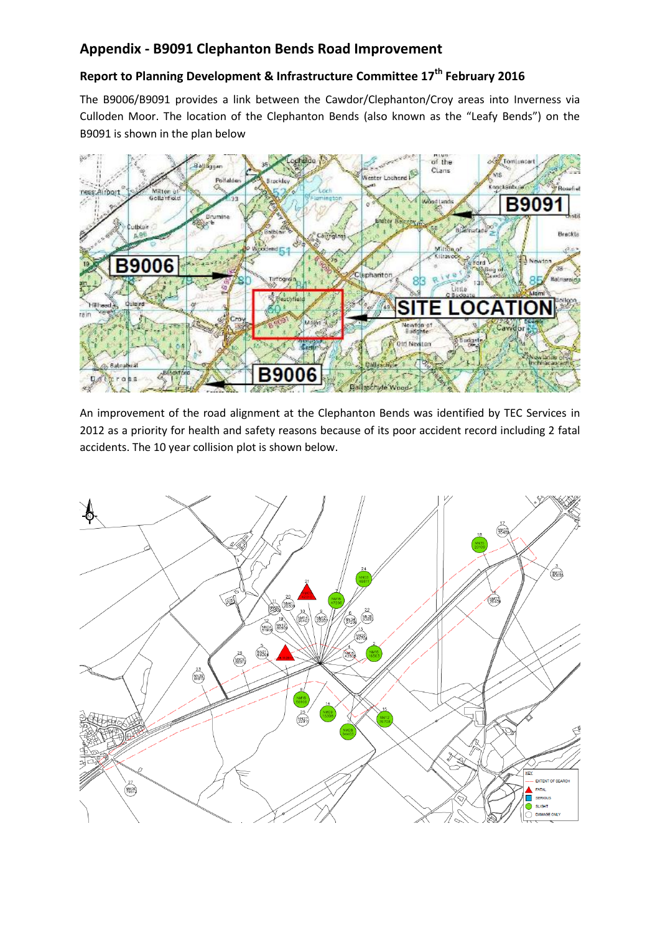# **Appendix - B9091 Clephanton Bends Road Improvement**

# **Report to Planning Development & Infrastructure Committee 17th February 2016**

The B9006/B9091 provides a link between the Cawdor/Clephanton/Croy areas into Inverness via Culloden Moor. The location of the Clephanton Bends (also known as the "Leafy Bends") on the B9091 is shown in the plan below



An improvement of the road alignment at the Clephanton Bends was identified by TEC Services in 2012 as a priority for health and safety reasons because of its poor accident record including 2 fatal accidents. The 10 year collision plot is shown below.